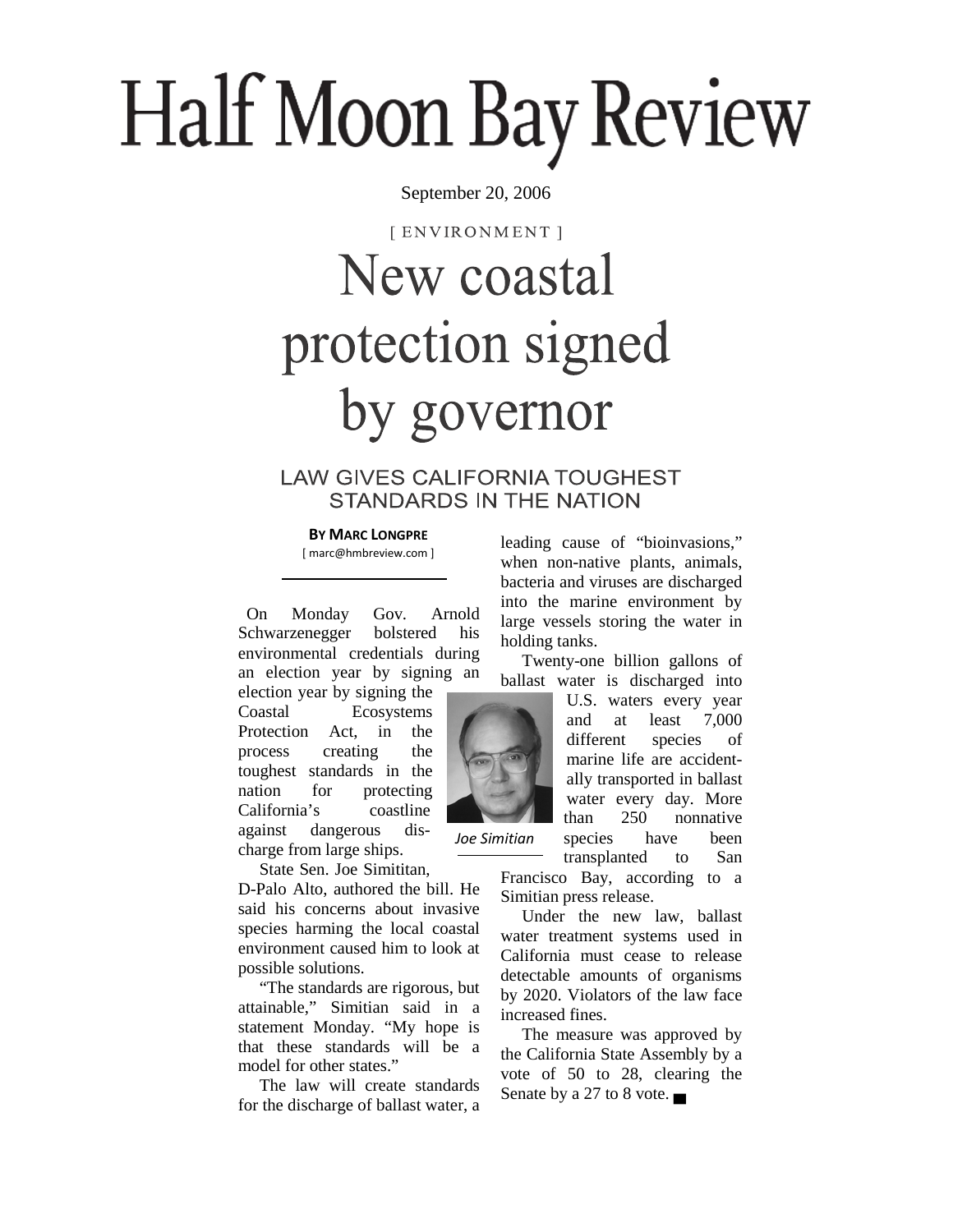# Half Moon Bay Review

September 20, 2006

[ENVIRONMENT]

## New coastal protection signed by governor

### **LAW GIVES CALIFORNIA TOUGHEST STANDARDS IN THE NATION**

#### **BY MARC LONGPRE**

[ marc@hmbreview.com ]

 On Monday Gov. Arnold Schwarzenegger bolstered his environmental credentials during an election year by signing an

election year by signing the Coastal Ecosystems Protection Act, in the process creating the toughest standards in the nation for protecting California's coastline against dangerous discharge from large ships.

State Sen. Joe Simititan,

D-Palo Alto, authored the bill. He said his concerns about invasive species harming the local coastal environment caused him to look at possible solutions.

 "The standards are rigorous, but attainable," Simitian said in a statement Monday. "My hope is that these standards will be a model for other states."

 The law will create standards for the discharge of ballast water, a leading cause of "bioinvasions," when non-native plants, animals, bacteria and viruses are discharged into the marine environment by large vessels storing the water in holding tanks.

 Twenty-one billion gallons of ballast water is discharged into

> U.S. waters every year and at least 7,000 different species of marine life are accidentally transported in ballast water every day. More than 250 nonnative species have been transplanted to San

Francisco Bay, according to a Simitian press release.

 Under the new law, ballast water treatment systems used in California must cease to release detectable amounts of organisms by 2020. Violators of the law face increased fines.

 The measure was approved by the California State Assembly by a vote of 50 to 28, clearing the Senate by a 27 to 8 vote. ▄



*Joe Simitian*